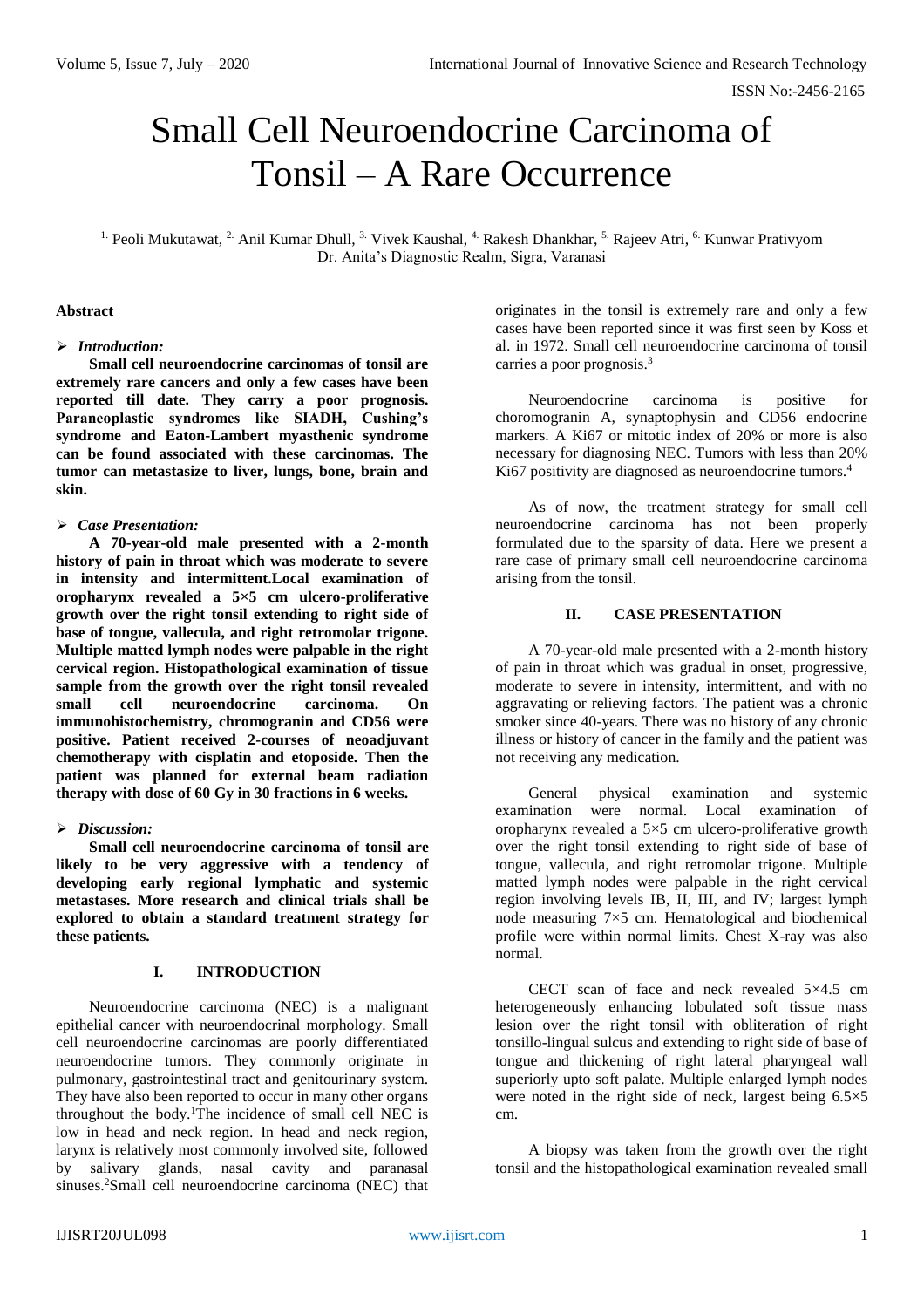# Small Cell Neuroendocrine Carcinoma of Tonsil – A Rare Occurrence

<sup>1.</sup> Peoli Mukutawat, <sup>2.</sup> Anil Kumar Dhull, <sup>3.</sup> Vivek Kaushal, <sup>4.</sup> Rakesh Dhankhar, <sup>5.</sup> Rajeev Atri, <sup>6.</sup> Kunwar Prativyom Dr. Anita's Diagnostic Realm, Sigra, Varanasi

#### **Abstract**

#### *Introduction:*

**Small cell neuroendocrine carcinomas of tonsil are extremely rare cancers and only a few cases have been reported till date. They carry a poor prognosis. Paraneoplastic syndromes like SIADH, Cushing's syndrome and Eaton-Lambert myasthenic syndrome can be found associated with these carcinomas. The tumor can metastasize to liver, lungs, bone, brain and skin.**

#### *Case Presentation:*

**A 70-year-old male presented with a 2-month history of pain in throat which was moderate to severe in intensity and intermittent.Local examination of oropharynx revealed a 5×5 cm ulcero-proliferative growth over the right tonsil extending to right side of base of tongue, vallecula, and right retromolar trigone. Multiple matted lymph nodes were palpable in the right cervical region. Histopathological examination of tissue sample from the growth over the right tonsil revealed small cell neuroendocrine carcinoma. On immunohistochemistry, chromogranin and CD56 were positive. Patient received 2-courses of neoadjuvant chemotherapy with cisplatin and etoposide. Then the patient was planned for external beam radiation therapy with dose of 60 Gy in 30 fractions in 6 weeks.** 

## *Discussion:*

**Small cell neuroendocrine carcinoma of tonsil are likely to be very aggressive with a tendency of developing early regional lymphatic and systemic metastases. More research and clinical trials shall be explored to obtain a standard treatment strategy for these patients.**

## **I. INTRODUCTION**

Neuroendocrine carcinoma (NEC) is a malignant epithelial cancer with neuroendocrinal morphology. Small cell neuroendocrine carcinomas are poorly differentiated neuroendocrine tumors. They commonly originate in pulmonary, gastrointestinal tract and genitourinary system. They have also been reported to occur in many other organs throughout the body.<sup>1</sup>The incidence of small cell NEC is low in head and neck region. In head and neck region, larynx is relatively most commonly involved site, followed by salivary glands, nasal cavity and paranasal sinuses.<sup>2</sup>Small cell neuroendocrine carcinoma (NEC) that

originates in the tonsil is extremely rare and only a few cases have been reported since it was first seen by Koss et al. in 1972. Small cell neuroendocrine carcinoma of tonsil carries a poor prognosis.<sup>3</sup>

Neuroendocrine carcinoma is positive for choromogranin A, synaptophysin and CD56 endocrine markers. A Ki67 or mitotic index of 20% or more is also necessary for diagnosing NEC. Tumors with less than 20% Ki67 positivity are diagnosed as neuroendocrine tumors.<sup>4</sup>

As of now, the treatment strategy for small cell neuroendocrine carcinoma has not been properly formulated due to the sparsity of data. Here we present a rare case of primary small cell neuroendocrine carcinoma arising from the tonsil.

## **II. CASE PRESENTATION**

A 70-year-old male presented with a 2-month history of pain in throat which was gradual in onset, progressive, moderate to severe in intensity, intermittent, and with no aggravating or relieving factors. The patient was a chronic smoker since 40-years. There was no history of any chronic illness or history of cancer in the family and the patient was not receiving any medication.

General physical examination and systemic examination were normal. Local examination of oropharynx revealed a  $5\times 5$  cm ulcero-proliferative growth over the right tonsil extending to right side of base of tongue, vallecula, and right retromolar trigone. Multiple matted lymph nodes were palpable in the right cervical region involving levels IB, II, III, and IV; largest lymph node measuring 7×5 cm. Hematological and biochemical profile were within normal limits. Chest X-ray was also normal.

CECT scan of face and neck revealed 5×4.5 cm heterogeneously enhancing lobulated soft tissue mass lesion over the right tonsil with obliteration of right tonsillo-lingual sulcus and extending to right side of base of tongue and thickening of right lateral pharyngeal wall superiorly upto soft palate. Multiple enlarged lymph nodes were noted in the right side of neck, largest being 6.5×5 cm.

A biopsy was taken from the growth over the right tonsil and the histopathological examination revealed small